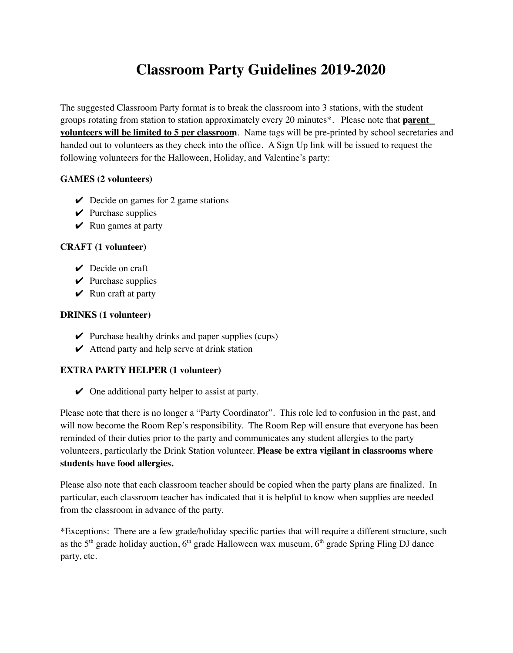# **Classroom Party Guidelines 2019-2020**

The suggested Classroom Party format is to break the classroom into 3 stations, with the student groups rotating from station to station approximately every 20 minutes\*. Please note that **parent volunteers will be limited to 5 per classroom**. Name tags will be pre-printed by school secretaries and handed out to volunteers as they check into the office. A Sign Up link will be issued to request the following volunteers for the Halloween, Holiday, and Valentine's party:

# **GAMES (2 volunteers)**

- $\vee$  Decide on games for 2 game stations
- $\vee$  Purchase supplies
- $\vee$  Run games at party

### **CRAFT (1 volunteer)**

- $\vee$  Decide on craft
- $\vee$  Purchase supplies
- $\vee$  Run craft at party

### **DRINKS (1 volunteer)**

- $\vee$  Purchase healthy drinks and paper supplies (cups)
- $\vee$  Attend party and help serve at drink station

# **EXTRA PARTY HELPER (1 volunteer)**

 $\vee$  One additional party helper to assist at party.

Please note that there is no longer a "Party Coordinator". This role led to confusion in the past, and will now become the Room Rep's responsibility. The Room Rep will ensure that everyone has been reminded of their duties prior to the party and communicates any student allergies to the party volunteers, particularly the Drink Station volunteer. **Please be extra vigilant in classrooms where students have food allergies.**

Please also note that each classroom teacher should be copied when the party plans are finalized. In particular, each classroom teacher has indicated that it is helpful to know when supplies are needed from the classroom in advance of the party.

\*Exceptions: There are a few grade/holiday specific parties that will require a different structure, such as the  $5<sup>th</sup>$  grade holiday auction,  $6<sup>th</sup>$  grade Halloween wax museum,  $6<sup>th</sup>$  grade Spring Fling DJ dance party, etc.